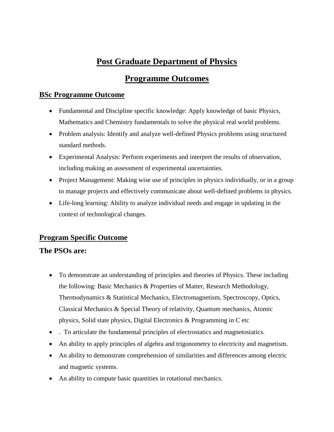# **Post Graduate Department of Physics**

# **Programme Outcomes**

## **BSc Programme Outcome**

- Fundamental and Discipline specific knowledge: Apply knowledge of basic Physics, Mathematics and Chemistry fundamentals to solve the physical real world problems.
- Problem analysis: Identify and analyze well-defined Physics problems using structured standard methods.
- Experimental Analysis: Perform experiments and interpret the results of observation, including making an assessment of experimental uncertainties.
- Project Management: Making wise use of principles in physics individually, or in a group to manage projects and effectively communicate about well-defined problems in physics.
- Life-long learning: Ability to analyze individual needs and engage in updating in the context of technological changes.

## **Program Specific Outcome**

## **The PSOs are:**

- To demonstrate an understanding of principles and theories of Physics. These including the following: Basic Mechanics & Properties of Matter, Research Methodology, Thermodynamics & Statistical Mechanics, Electromagnetism, Spectroscopy, Optics, Classical Mechanics & Special Theory of relativity, Quantum mechanics, Atomic physics, Solid state physics, Digital Electronics & Programming in C etc
- . To articulate the fundamental principles of electrostatics and magnetostatics.
- An ability to apply principles of algebra and trigonometry to electricity and magnetism.
- An ability to demonstrate comprehension of similarities and differences among electric and magnetic systems.
- An ability to compute basic quantities in rotational mechanics.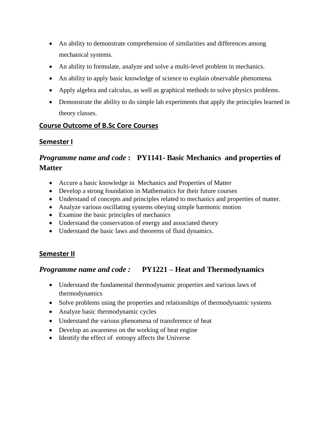- An ability to demonstrate comprehension of similarities and differences among mechanical systems.
- An ability to formulate, analyze and solve a multi-level problem in mechanics.
- An ability to apply basic knowledge of science to explain observable phenomena.
- Apply algebra and calculus, as well as graphical methods to solve physics problems.
- Demonstrate the ability to do simple lab experiments that apply the principles learned in theory classes.

## **Course Outcome of B.Sc Core Courses**

## **Semester I**

# *Programme name and code* **: PY1141- Basic Mechanics and properties of Matter**

- Accure a basic knowledge in Mechanics and Properties of Matter
- Develop a strong foundation in Mathematics for their future courses
- Understand of concepts and principles related to mechanics and properties of matter.
- Analyze various oscillating systems obeying simple harmonic motion
- Examine the basic principles of mechanics
- Understand the conservation of energy and associated theory
- Understand the basic laws and theorems of fluid dynamics.

## **Semester II**

## *Programme name and code :* **PY1221 – Heat and Thermodynamics**

- Understand the fundamental thermodynamic properties and various laws of thermodynamics
- Solve problems using the properties and relationships of thermodynamic systems
- Analyze basic thermodynamic cycles
- Understand the various phenomena of transference of heat
- Develop an awareness on the working of heat engine
- Identify the effect of entropy affects the Universe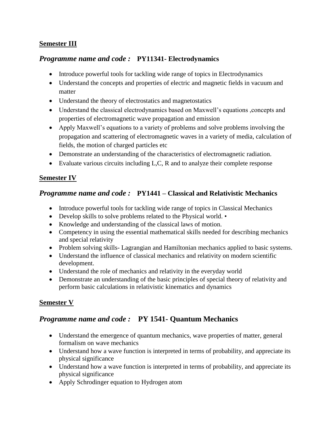#### **Semester III**

#### *Programme name and code :* **PY11341- Electrodynamics**

- Introduce powerful tools for tackling wide range of topics in Electrodynamics
- Understand the concepts and properties of electric and magnetic fields in vacuum and matter
- Understand the theory of electrostatics and magnetostatics
- Understand the classical electrodynamics based on Maxwell's equations ,concepts and properties of electromagnetic wave propagation and emission
- Apply Maxwell's equations to a variety of problems and solve problems involving the propagation and scattering of electromagnetic waves in a variety of media, calculation of fields, the motion of charged particles etc
- Demonstrate an understanding of the characteristics of electromagnetic radiation.
- Evaluate various circuits including L,C, R and to analyze their complete response

#### **Semester IV**

#### *Programme name and code :* **PY1441 – Classical and Relativistic Mechanics**

- Introduce powerful tools for tackling wide range of topics in Classical Mechanics
- Develop skills to solve problems related to the Physical world. •
- Knowledge and understanding of the classical laws of motion.
- Competency in using the essential mathematical skills needed for describing mechanics and special relativity
- Problem solving skills-Lagrangian and Hamiltonian mechanics applied to basic systems.
- Understand the influence of classical mechanics and relativity on modern scientific development.
- Understand the role of mechanics and relativity in the everyday world
- Demonstrate an understanding of the basic principles of special theory of relativity and perform basic calculations in relativistic kinematics and dynamics

## **Semester V**

## *Programme name and code :* **PY 1541- Quantum Mechanics**

- Understand the emergence of quantum mechanics, wave properties of matter, general formalism on wave mechanics
- Understand how a wave function is interpreted in terms of probability, and appreciate its physical significance
- Understand how a wave function is interpreted in terms of probability, and appreciate its physical significance
- Apply Schrodinger equation to Hydrogen atom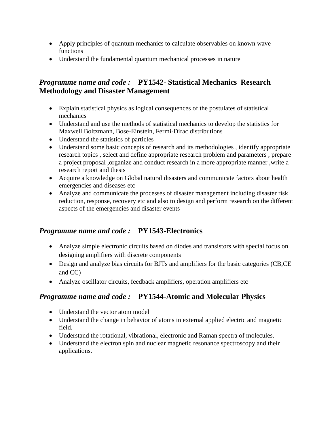- Apply principles of quantum mechanics to calculate observables on known wave functions
- Understand the fundamental quantum mechanical processes in nature

## *Programme name and code :* **PY1542- Statistical Mechanics Research Methodology and Disaster Management**

- Explain statistical physics as logical consequences of the postulates of statistical mechanics
- Understand and use the methods of statistical mechanics to develop the statistics for Maxwell Boltzmann, Bose-Einstein, Fermi-Dirac distributions
- Understand the statistics of particles
- Understand some basic concepts of research and its methodologies, identify appropriate research topics , select and define appropriate research problem and parameters , prepare a project proposal ,organize and conduct research in a more appropriate manner ,write a research report and thesis
- Acquire a knowledge on Global natural disasters and communicate factors about health emergencies and diseases etc
- Analyze and communicate the processes of disaster management including disaster risk reduction, response, recovery etc and also to design and perform research on the different aspects of the emergencies and disaster events

## *Programme name and code :* **PY1543-Electronics**

- Analyze simple electronic circuits based on diodes and transistors with special focus on designing amplifiers with discrete components
- Design and analyze bias circuits for BJTs and amplifiers for the basic categories (CB,CE and CC)
- Analyze oscillator circuits, feedback amplifiers, operation amplifiers etc

# *Programme name and code :* **PY1544-Atomic and Molecular Physics**

- Understand the vector atom model
- Understand the change in behavior of atoms in external applied electric and magnetic field.
- Understand the rotational, vibrational, electronic and Raman spectra of molecules.
- Understand the electron spin and nuclear magnetic resonance spectroscopy and their applications.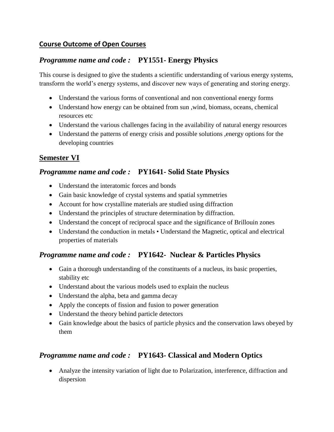## **Course Outcome of Open Courses**

## *Programme name and code :* **PY1551- Energy Physics**

This course is designed to give the students a scientific understanding of various energy systems, transform the world's energy systems, and discover new ways of generating and storing energy.

- Understand the various forms of conventional and non conventional energy forms
- Understand how energy can be obtained from sun ,wind, biomass, oceans, chemical resources etc
- Understand the various challenges facing in the availability of natural energy resources
- Understand the patterns of energy crisis and possible solutions ,energy options for the developing countries

## **Semester VI**

## *Programme name and code :* **PY1641- Solid State Physics**

- Understand the interatomic forces and bonds
- Gain basic knowledge of crystal systems and spatial symmetries
- Account for how crystalline materials are studied using diffraction
- Understand the principles of structure determination by diffraction.
- Understand the concept of reciprocal space and the significance of Brillouin zones
- Understand the conduction in metals Understand the Magnetic, optical and electrical properties of materials

## *Programme name and code :* **PY1642- Nuclear & Particles Physics**

- Gain a thorough understanding of the constituents of a nucleus, its basic properties, stability etc
- Understand about the various models used to explain the nucleus
- Understand the alpha, beta and gamma decay
- Apply the concepts of fission and fusion to power generation
- Understand the theory behind particle detectors
- Gain knowledge about the basics of particle physics and the conservation laws obeyed by them

## *Programme name and code :* **PY1643- Classical and Modern Optics**

 Analyze the intensity variation of light due to Polarization, interference, diffraction and dispersion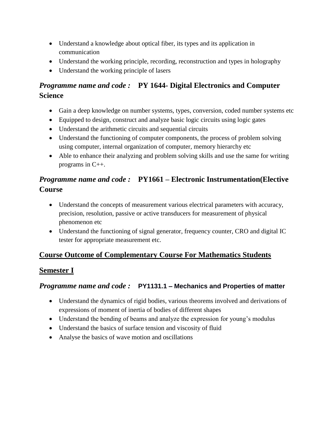- Understand a knowledge about optical fiber, its types and its application in communication
- Understand the working principle, recording, reconstruction and types in holography
- Understand the working principle of lasers

# *Programme name and code :* **PY 1644- Digital Electronics and Computer Science**

- Gain a deep knowledge on number systems, types, conversion, coded number systems etc
- Equipped to design, construct and analyze basic logic circuits using logic gates
- Understand the arithmetic circuits and sequential circuits
- Understand the functioning of computer components, the process of problem solving using computer, internal organization of computer, memory hierarchy etc
- Able to enhance their analyzing and problem solving skills and use the same for writing programs in C++.

# *Programme name and code :* **PY1661 – Electronic Instrumentation(Elective Course**

- Understand the concepts of measurement various electrical parameters with accuracy, precision, resolution, passive or active transducers for measurement of physical phenomenon etc
- Understand the functioning of signal generator, frequency counter, CRO and digital IC tester for appropriate measurement etc.

# **Course Outcome of Complementary Course For Mathematics Students**

# **Semester I**

# *Programme name and code :* **PY1131.1 – Mechanics and Properties of matter**

- Understand the dynamics of rigid bodies, various theorems involved and derivations of expressions of moment of inertia of bodies of different shapes
- Understand the bending of beams and analyze the expression for young's modulus
- Understand the basics of surface tension and viscosity of fluid
- Analyse the basics of wave motion and oscillations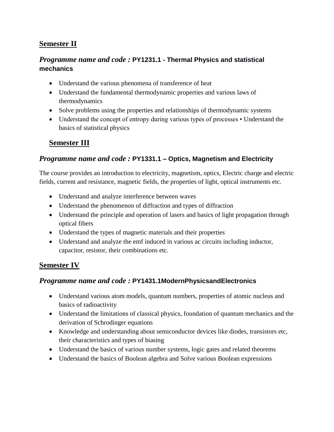## **Semester II**

## *Programme name and code :* **PY1231.1 - Thermal Physics and statistical mechanics**

- Understand the various phenomena of transference of heat
- Understand the fundamental thermodynamic properties and various laws of thermodynamics
- Solve problems using the properties and relationships of thermodynamic systems
- Understand the concept of entropy during various types of processes Understand the basics of statistical physics

## **Semester III**

#### *Programme name and code :* **PY1331.1 – Optics, Magnetism and Electricity**

The course provides an introduction to electricity, magnetism, optics, Electric charge and electric fields, current and resistance, magnetic fields, the properties of light, optical instruments etc.

- Understand and analyze interference between waves
- Understand the phenomenon of diffraction and types of diffraction
- Understand the principle and operation of lasers and basics of light propagation through optical fibers
- Understand the types of magnetic materials and their properties
- Understand and analyze the emf induced in various ac circuits including inductor, capacitor, resistor, their combinations etc.

## **Semester IV**

#### *Programme name and code :* **PY1431.1ModernPhysicsandElectronics**

- Understand various atom models, quantum numbers, properties of atomic nucleus and basics of radioactivity
- Understand the limitations of classical physics, foundation of quantum mechanics and the derivation of Schrodinger equations
- Knowledge and understanding about semiconductor devices like diodes, transistors etc, their characteristics and types of biasing
- Understand the basics of various number systems, logic gates and related theorems
- Understand the basics of Boolean algebra and Solve various Boolean expressions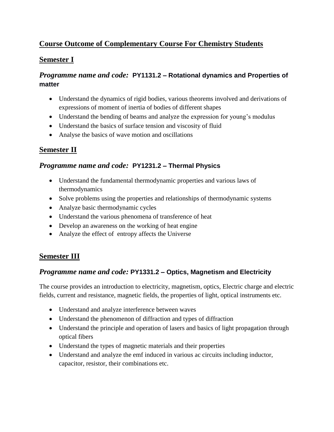## **Course Outcome of Complementary Course For Chemistry Students**

## **Semester I**

## *Programme name and code:* **PY1131.2 – Rotational dynamics and Properties of matter**

- Understand the dynamics of rigid bodies, various theorems involved and derivations of expressions of moment of inertia of bodies of different shapes
- Understand the bending of beams and analyze the expression for young's modulus
- Understand the basics of surface tension and viscosity of fluid
- Analyse the basics of wave motion and oscillations

## **Semester II**

## *Programme name and code:* **PY1231.2 – Thermal Physics**

- Understand the fundamental thermodynamic properties and various laws of thermodynamics
- Solve problems using the properties and relationships of thermodynamic systems
- Analyze basic thermodynamic cycles
- Understand the various phenomena of transference of heat
- Develop an awareness on the working of heat engine
- Analyze the effect of entropy affects the Universe

# **Semester III**

## *Programme name and code:* **PY1331.2 – Optics, Magnetism and Electricity**

The course provides an introduction to electricity, magnetism, optics, Electric charge and electric fields, current and resistance, magnetic fields, the properties of light, optical instruments etc.

- Understand and analyze interference between waves
- Understand the phenomenon of diffraction and types of diffraction
- Understand the principle and operation of lasers and basics of light propagation through optical fibers
- Understand the types of magnetic materials and their properties
- Understand and analyze the emf induced in various ac circuits including inductor, capacitor, resistor, their combinations etc.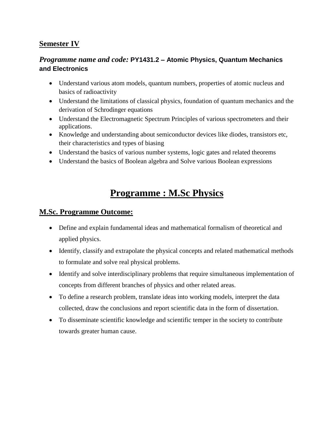## **Semester IV**

## *Programme name and code:* **PY1431.2 – Atomic Physics, Quantum Mechanics and Electronics**

- Understand various atom models, quantum numbers, properties of atomic nucleus and basics of radioactivity
- Understand the limitations of classical physics, foundation of quantum mechanics and the derivation of Schrodinger equations
- Understand the Electromagnetic Spectrum Principles of various spectrometers and their applications.
- Knowledge and understanding about semiconductor devices like diodes, transistors etc, their characteristics and types of biasing
- Understand the basics of various number systems, logic gates and related theorems
- Understand the basics of Boolean algebra and Solve various Boolean expressions

# **Programme : M.Sc Physics**

#### **M.Sc. Programme Outcome:**

- Define and explain fundamental ideas and mathematical formalism of theoretical and applied physics.
- Identify, classify and extrapolate the physical concepts and related mathematical methods to formulate and solve real physical problems.
- Identify and solve interdisciplinary problems that require simultaneous implementation of concepts from different branches of physics and other related areas.
- To define a research problem, translate ideas into working models, interpret the data collected, draw the conclusions and report scientific data in the form of dissertation.
- To disseminate scientific knowledge and scientific temper in the society to contribute towards greater human cause.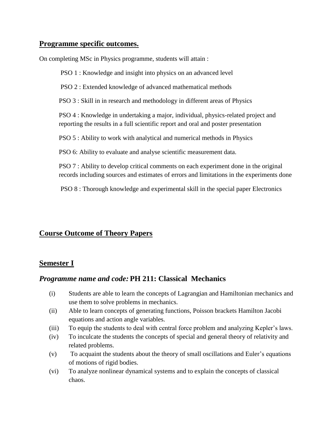#### **Programme specific outcomes.**

On completing MSc in Physics programme, students will attain :

PSO 1 : Knowledge and insight into physics on an advanced level

PSO 2 : Extended knowledge of advanced mathematical methods

PSO 3 : Skill in in research and methodology in different areas of Physics

PSO 4 : Knowledge in undertaking a major, individual, physics-related project and reporting the results in a full scientific report and oral and poster presentation

PSO 5 : Ability to work with analytical and numerical methods in Physics

PSO 6: Ability to evaluate and analyse scientific measurement data.

PSO 7 : Ability to develop critical comments on each experiment done in the original records including sources and estimates of errors and limitations in the experiments done

PSO 8 : Thorough knowledge and experimental skill in the special paper Electronics

## **Course Outcome of Theory Papers**

#### **Semester I**

## *Programme name and code:* **PH 211: Classical Mechanics**

- (i) Students are able to learn the concepts of Lagrangian and Hamiltonian mechanics and use them to solve problems in mechanics.
- (ii) Able to learn concepts of generating functions, Poisson brackets Hamilton Jacobi equations and action angle variables.
- (iii) To equip the students to deal with central force problem and analyzing Kepler's laws.
- (iv) To inculcate the students the concepts of special and general theory of relativity and related problems.
- (v) To acquaint the students about the theory of small oscillations and Euler's equations of motions of rigid bodies.
- (vi) To analyze nonlinear dynamical systems and to explain the concepts of classical chaos.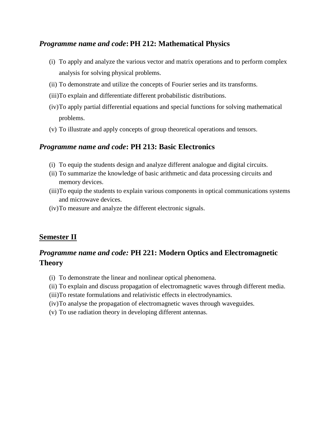#### *Programme name and code***: PH 212: Mathematical Physics**

- (i) To apply and analyze the various vector and matrix operations and to perform complex analysis for solving physical problems.
- (ii) To demonstrate and utilize the concepts of Fourier series and its transforms.
- (iii)To explain and differentiate different probabilistic distributions.
- (iv)To apply partial differential equations and special functions for solving mathematical problems.
- (v) To illustrate and apply concepts of group theoretical operations and tensors.

#### *Programme name and code***: PH 213: Basic Electronics**

- (i) To equip the students design and analyze different analogue and digital circuits.
- (ii) To summarize the knowledge of basic arithmetic and data processing circuits and memory devices.
- (iii)To equip the students to explain various components in optical communications systems and microwave devices.
- (iv)To measure and analyze the different electronic signals.

## **Semester II**

## *Programme name and code:* **PH 221: Modern Optics and Electromagnetic Theory**

- (i) To demonstrate the linear and nonlinear optical phenomena.
- (ii) To explain and discuss propagation of electromagnetic waves through different media.
- (iii)To restate formulations and relativistic effects in electrodynamics.
- (iv)To analyse the propagation of electromagnetic waves through waveguides.
- (v) To use radiation theory in developing different antennas.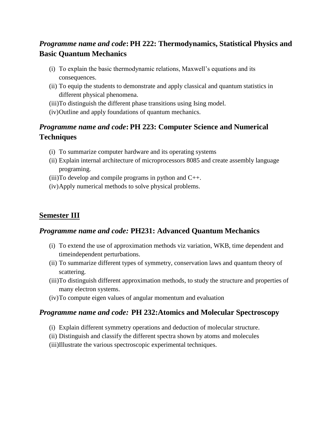# *Programme name and code***: PH 222: Thermodynamics, Statistical Physics and Basic Quantum Mechanics**

- (i) To explain the basic thermodynamic relations, Maxwell's equations and its consequences.
- (ii) To equip the students to demonstrate and apply classical and quantum statistics in different physical phenomena.
- (iii)To distinguish the different phase transitions using Ising model.
- (iv)Outline and apply foundations of quantum mechanics.

# *Programme name and code***: PH 223: Computer Science and Numerical Techniques**

- (i) To summarize computer hardware and its operating systems
- (ii) Explain internal architecture of microprocessors 8085 and create assembly language programing.
- $(iii)$ To develop and compile programs in python and  $C_{++}$ .
- (iv)Apply numerical methods to solve physical problems.

## **Semester III**

## *Programme name and code:* **PH231: Advanced Quantum Mechanics**

- (i) To extend the use of approximation methods viz variation, WKB, time dependent and timeindependent perturbations.
- (ii) To summarize different types of symmetry, conservation laws and quantum theory of scattering.
- (iii)To distinguish different approximation methods, to study the structure and properties of many electron systems.
- (iv)To compute eigen values of angular momentum and evaluation

## *Programme name and code:* **PH 232:Atomics and Molecular Spectroscopy**

- (i) Explain different symmetry operations and deduction of molecular structure.
- (ii) Distinguish and classify the different spectra shown by atoms and molecules
- (iii)Illustrate the various spectroscopic experimental techniques.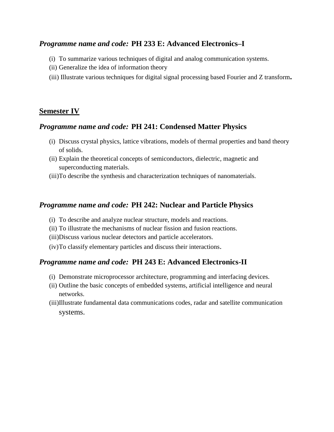#### *Programme name and code:* **PH 233 E: Advanced Electronics–I**

- (i) To summarize various techniques of digital and analog communication systems.
- (ii) Generalize the idea of information theory
- (iii) Illustrate various techniques for digital signal processing based Fourier and Z transform**.**

#### **Semester IV**

#### *Programme name and code:* **PH 241: Condensed Matter Physics**

- (i) Discuss crystal physics, lattice vibrations, models of thermal properties and band theory of solids.
- (ii) Explain the theoretical concepts of semiconductors, dielectric, magnetic and superconducting materials.
- (iii)To describe the synthesis and characterization techniques of nanomaterials.

#### *Programme name and code:* **PH 242: Nuclear and Particle Physics**

- (i) To describe and analyze nuclear structure, models and reactions.
- (ii) To illustrate the mechanisms of nuclear fission and fusion reactions.
- (iii)Discuss various nuclear detectors and particle accelerators.
- (iv)To classify elementary particles and discuss their interactions.

## *Programme name and code:* **PH 243 E: Advanced Electronics-II**

- (i) Demonstrate microprocessor architecture, programming and interfacing devices.
- (ii) Outline the basic concepts of embedded systems, artificial intelligence and neural networks.
- (iii)Illustrate fundamental data communications codes, radar and satellite communication systems.